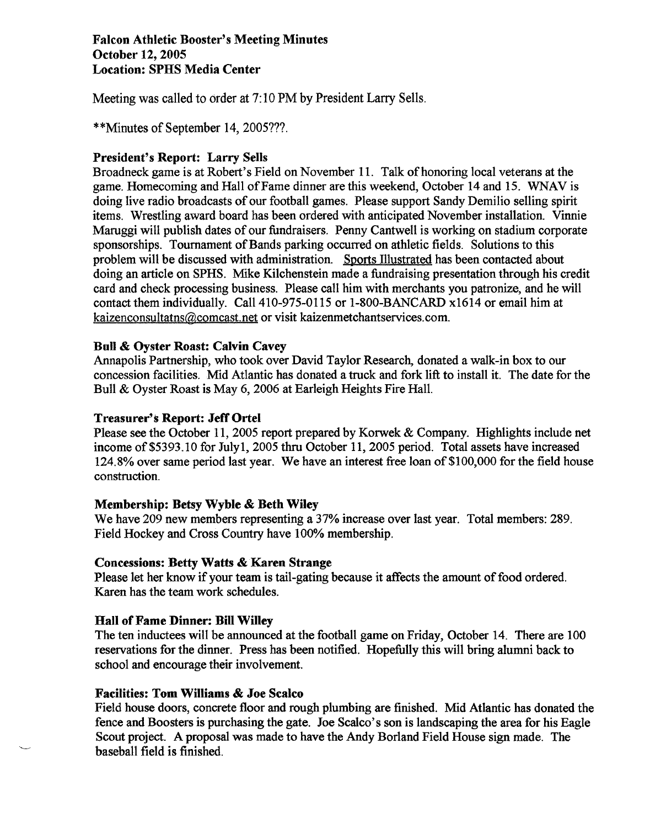## **Falcon Athletic Booster's Meeting Minutes October 12,2005 Location: SPHS Media Center**

Meeting was called to order at 7: 10 PM by President Larry Sells.

\*\*Minutes of September 14, 2005???.

# **President's Report: Larry Sells**

Broadneck game is at Robert's Field on November 11. Talk of honoring local veterans at the game. Homecoming and Hall of Fame dinner are this weekend, October 14 and 15. **WNAV** is doing live radio broadcasts of our football games. Please support Sandy Demilio selling spirit items. Wrestling award board has been ordered with anticipated November installation. Vinnie Maruggi will publish dates of our fundraisers. Penny Cantwell is working on stadium corporate sponsorships. Tournament of Bands parking occurred on athletic fields. Solutions to this problem will be discussed with administration. Sports Illustrated has been contacted about doing an article on SPHS. Mike Kilchenstein made a fundraising presentation through his credit card and check processing business. Please call him with merchants you patronize, and he will contact them individually. Call 410-975-01 15 or 1-800-BANCARD x1614 or email him at kaizenconsultatns@comcast.net or visit kaizenmetchantservices.com.

## **Bull** & **Oyster Roast: Calvin Cavey**

Annapolis Partnership, who took over David Taylor Research, donated a walk-in box to our concession facilities. Mid Atlantic has donated a truck and fork lift to install it. The date for the Bull & Oyster Roast is May 6,2006 at Earleigh Heights Fire Hall.

## **Treasurer'\$ Report: Jeff Ortel**

Please see the October 11, 2005 report prepared by Korwek & Company. Highlights include net income of \$5393.10 for Julyl, 2005 thru October 11,2005 period. Total assets have increased 124.8% over same period last year. We have an interest free loan of \$100,000 for the field house construction.

# **Membership: Betsy Wyble** & **Beth Wiley**

We have 209 new members representing a 37% increase over last year. Total members: 289. Field Hockey and Cross Country have 100% membership.

### **Concessions: Betty Watts** & **Karen Strange**

Please let her know if your team is tail-gating because it affects the amount of food ordered. Karen has the team work schedules.

# **Hall of Fame Dinner: Bill Willey**

The ten inductees will be announced at the football game on Friday, October 14. There are 100 reservations for the dinner. Press has been notified. Hopefully this will bring alumni back to school and encourage their involvement.

## **Facilities: Tom Williams** & **Joe Scalco**

Field house doors, concrete floor and rough plumbing are finished. Mid Atlantic has donated the fence and Boosters is purchasing the gate. Joe Scalco's son is landscaping the area for his Eagle Scout project. A proposal was made to have the Andy Borland Field House sign made. The baseball field is finished.